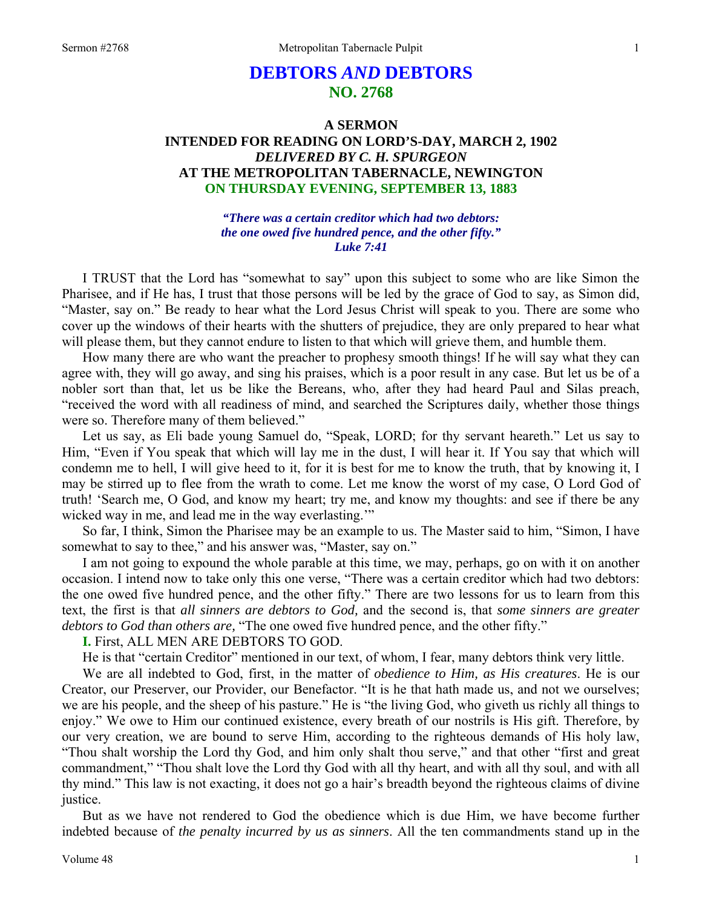# **DEBTORS** *AND* **DEBTORS NO. 2768**

## **A SERMON INTENDED FOR READING ON LORD'S-DAY, MARCH 2, 1902**  *DELIVERED BY C. H. SPURGEON*  **AT THE METROPOLITAN TABERNACLE, NEWINGTON ON THURSDAY EVENING, SEPTEMBER 13, 1883**

*"There was a certain creditor which had two debtors: the one owed five hundred pence, and the other fifty." Luke 7:41* 

I TRUST that the Lord has "somewhat to say" upon this subject to some who are like Simon the Pharisee, and if He has, I trust that those persons will be led by the grace of God to say, as Simon did, "Master, say on." Be ready to hear what the Lord Jesus Christ will speak to you. There are some who cover up the windows of their hearts with the shutters of prejudice, they are only prepared to hear what will please them, but they cannot endure to listen to that which will grieve them, and humble them.

How many there are who want the preacher to prophesy smooth things! If he will say what they can agree with, they will go away, and sing his praises, which is a poor result in any case. But let us be of a nobler sort than that, let us be like the Bereans, who, after they had heard Paul and Silas preach, "received the word with all readiness of mind, and searched the Scriptures daily, whether those things were so. Therefore many of them believed."

Let us say, as Eli bade young Samuel do, "Speak, LORD; for thy servant heareth." Let us say to Him, "Even if You speak that which will lay me in the dust, I will hear it. If You say that which will condemn me to hell, I will give heed to it, for it is best for me to know the truth, that by knowing it, I may be stirred up to flee from the wrath to come. Let me know the worst of my case, O Lord God of truth! 'Search me, O God, and know my heart; try me, and know my thoughts: and see if there be any wicked way in me, and lead me in the way everlasting."

So far, I think, Simon the Pharisee may be an example to us. The Master said to him, "Simon, I have somewhat to say to thee," and his answer was, "Master, say on."

I am not going to expound the whole parable at this time, we may, perhaps, go on with it on another occasion. I intend now to take only this one verse, "There was a certain creditor which had two debtors: the one owed five hundred pence, and the other fifty." There are two lessons for us to learn from this text, the first is that *all sinners are debtors to God,* and the second is, that *some sinners are greater debtors to God than others are,* "The one owed five hundred pence, and the other fifty."

**I.** First, ALL MEN ARE DEBTORS TO GOD.

He is that "certain Creditor" mentioned in our text, of whom, I fear, many debtors think very little.

We are all indebted to God, first, in the matter of *obedience to Him, as His creatures*. He is our Creator, our Preserver, our Provider, our Benefactor. "It is he that hath made us, and not we ourselves; we are his people, and the sheep of his pasture." He is "the living God, who giveth us richly all things to enjoy." We owe to Him our continued existence, every breath of our nostrils is His gift. Therefore, by our very creation, we are bound to serve Him, according to the righteous demands of His holy law, "Thou shalt worship the Lord thy God, and him only shalt thou serve," and that other "first and great commandment," "Thou shalt love the Lord thy God with all thy heart, and with all thy soul, and with all thy mind." This law is not exacting, it does not go a hair's breadth beyond the righteous claims of divine justice.

But as we have not rendered to God the obedience which is due Him, we have become further indebted because of *the penalty incurred by us as sinners*. All the ten commandments stand up in the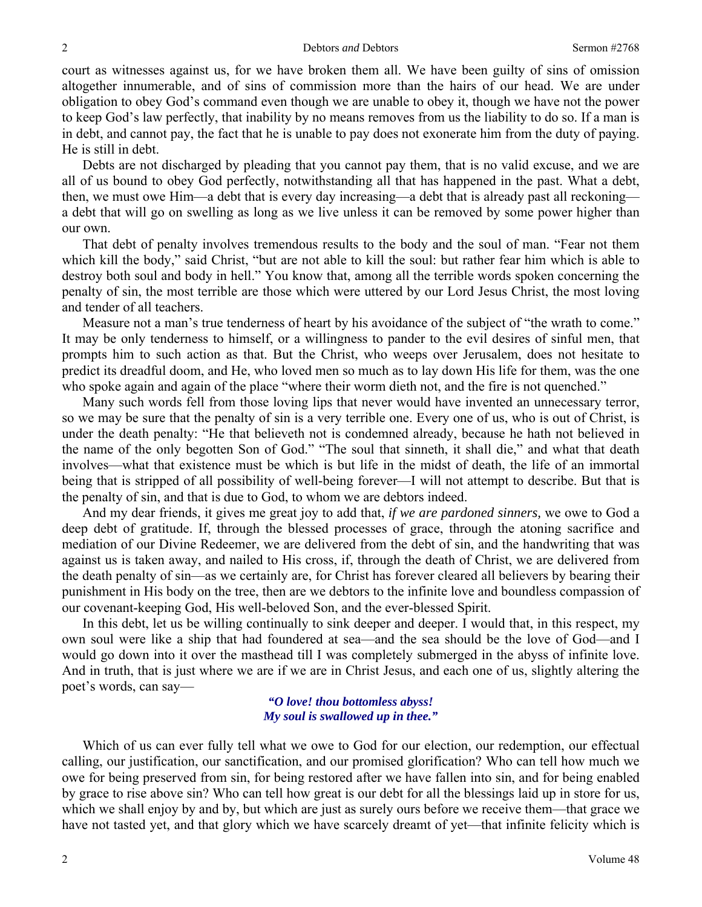court as witnesses against us, for we have broken them all. We have been guilty of sins of omission altogether innumerable, and of sins of commission more than the hairs of our head. We are under obligation to obey God's command even though we are unable to obey it, though we have not the power to keep God's law perfectly, that inability by no means removes from us the liability to do so. If a man is in debt, and cannot pay, the fact that he is unable to pay does not exonerate him from the duty of paying. He is still in debt.

Debts are not discharged by pleading that you cannot pay them, that is no valid excuse, and we are all of us bound to obey God perfectly, notwithstanding all that has happened in the past. What a debt, then, we must owe Him—a debt that is every day increasing—a debt that is already past all reckoning a debt that will go on swelling as long as we live unless it can be removed by some power higher than our own.

That debt of penalty involves tremendous results to the body and the soul of man. "Fear not them which kill the body," said Christ, "but are not able to kill the soul: but rather fear him which is able to destroy both soul and body in hell." You know that, among all the terrible words spoken concerning the penalty of sin, the most terrible are those which were uttered by our Lord Jesus Christ, the most loving and tender of all teachers.

Measure not a man's true tenderness of heart by his avoidance of the subject of "the wrath to come." It may be only tenderness to himself, or a willingness to pander to the evil desires of sinful men, that prompts him to such action as that. But the Christ, who weeps over Jerusalem, does not hesitate to predict its dreadful doom, and He, who loved men so much as to lay down His life for them, was the one who spoke again and again of the place "where their worm dieth not, and the fire is not quenched."

Many such words fell from those loving lips that never would have invented an unnecessary terror, so we may be sure that the penalty of sin is a very terrible one. Every one of us, who is out of Christ, is under the death penalty: "He that believeth not is condemned already, because he hath not believed in the name of the only begotten Son of God." "The soul that sinneth, it shall die," and what that death involves—what that existence must be which is but life in the midst of death, the life of an immortal being that is stripped of all possibility of well-being forever—I will not attempt to describe. But that is the penalty of sin, and that is due to God, to whom we are debtors indeed.

And my dear friends, it gives me great joy to add that, *if we are pardoned sinners,* we owe to God a deep debt of gratitude. If, through the blessed processes of grace, through the atoning sacrifice and mediation of our Divine Redeemer, we are delivered from the debt of sin, and the handwriting that was against us is taken away, and nailed to His cross, if, through the death of Christ, we are delivered from the death penalty of sin—as we certainly are, for Christ has forever cleared all believers by bearing their punishment in His body on the tree, then are we debtors to the infinite love and boundless compassion of our covenant-keeping God, His well-beloved Son, and the ever-blessed Spirit.

In this debt, let us be willing continually to sink deeper and deeper. I would that, in this respect, my own soul were like a ship that had foundered at sea—and the sea should be the love of God—and I would go down into it over the masthead till I was completely submerged in the abyss of infinite love. And in truth, that is just where we are if we are in Christ Jesus, and each one of us, slightly altering the poet's words, can say—

### *"O love! thou bottomless abyss! My soul is swallowed up in thee."*

Which of us can ever fully tell what we owe to God for our election, our redemption, our effectual calling, our justification, our sanctification, and our promised glorification? Who can tell how much we owe for being preserved from sin, for being restored after we have fallen into sin, and for being enabled by grace to rise above sin? Who can tell how great is our debt for all the blessings laid up in store for us, which we shall enjoy by and by, but which are just as surely ours before we receive them—that grace we have not tasted yet, and that glory which we have scarcely dreamt of yet—that infinite felicity which is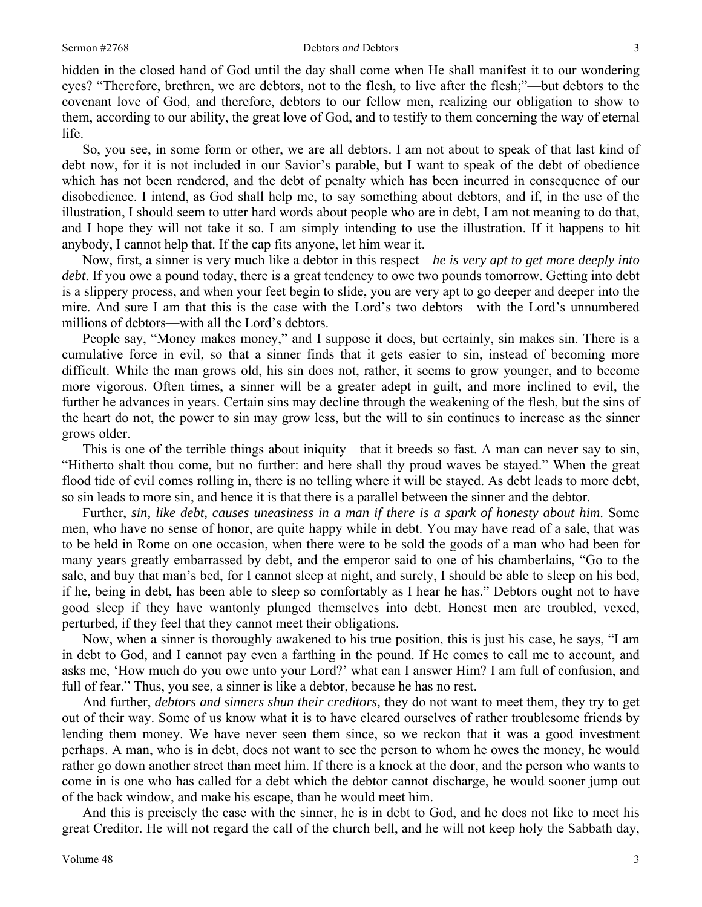#### Sermon #2768 **Sermon #2768 Debtors** *and* Debtors 3

hidden in the closed hand of God until the day shall come when He shall manifest it to our wondering eyes? "Therefore, brethren, we are debtors, not to the flesh, to live after the flesh;"—but debtors to the covenant love of God, and therefore, debtors to our fellow men, realizing our obligation to show to them, according to our ability, the great love of God, and to testify to them concerning the way of eternal life.

So, you see, in some form or other, we are all debtors. I am not about to speak of that last kind of debt now, for it is not included in our Savior's parable, but I want to speak of the debt of obedience which has not been rendered, and the debt of penalty which has been incurred in consequence of our disobedience. I intend, as God shall help me, to say something about debtors, and if, in the use of the illustration, I should seem to utter hard words about people who are in debt, I am not meaning to do that, and I hope they will not take it so. I am simply intending to use the illustration. If it happens to hit anybody, I cannot help that. If the cap fits anyone, let him wear it.

Now, first, a sinner is very much like a debtor in this respect—*he is very apt to get more deeply into debt*. If you owe a pound today, there is a great tendency to owe two pounds tomorrow. Getting into debt is a slippery process, and when your feet begin to slide, you are very apt to go deeper and deeper into the mire. And sure I am that this is the case with the Lord's two debtors—with the Lord's unnumbered millions of debtors—with all the Lord's debtors.

People say, "Money makes money," and I suppose it does, but certainly, sin makes sin. There is a cumulative force in evil, so that a sinner finds that it gets easier to sin, instead of becoming more difficult. While the man grows old, his sin does not, rather, it seems to grow younger, and to become more vigorous. Often times, a sinner will be a greater adept in guilt, and more inclined to evil, the further he advances in years. Certain sins may decline through the weakening of the flesh, but the sins of the heart do not, the power to sin may grow less, but the will to sin continues to increase as the sinner grows older.

This is one of the terrible things about iniquity—that it breeds so fast. A man can never say to sin, "Hitherto shalt thou come, but no further: and here shall thy proud waves be stayed." When the great flood tide of evil comes rolling in, there is no telling where it will be stayed. As debt leads to more debt, so sin leads to more sin, and hence it is that there is a parallel between the sinner and the debtor.

Further, *sin, like debt, causes uneasiness in a man if there is a spark of honesty about him*. Some men, who have no sense of honor, are quite happy while in debt. You may have read of a sale, that was to be held in Rome on one occasion, when there were to be sold the goods of a man who had been for many years greatly embarrassed by debt, and the emperor said to one of his chamberlains, "Go to the sale, and buy that man's bed, for I cannot sleep at night, and surely, I should be able to sleep on his bed, if he, being in debt, has been able to sleep so comfortably as I hear he has." Debtors ought not to have good sleep if they have wantonly plunged themselves into debt. Honest men are troubled, vexed, perturbed, if they feel that they cannot meet their obligations.

Now, when a sinner is thoroughly awakened to his true position, this is just his case, he says, "I am in debt to God, and I cannot pay even a farthing in the pound. If He comes to call me to account, and asks me, 'How much do you owe unto your Lord?' what can I answer Him? I am full of confusion, and full of fear." Thus, you see, a sinner is like a debtor, because he has no rest.

And further, *debtors and sinners shun their creditors,* they do not want to meet them, they try to get out of their way. Some of us know what it is to have cleared ourselves of rather troublesome friends by lending them money. We have never seen them since, so we reckon that it was a good investment perhaps. A man, who is in debt, does not want to see the person to whom he owes the money, he would rather go down another street than meet him. If there is a knock at the door, and the person who wants to come in is one who has called for a debt which the debtor cannot discharge, he would sooner jump out of the back window, and make his escape, than he would meet him.

And this is precisely the case with the sinner, he is in debt to God, and he does not like to meet his great Creditor. He will not regard the call of the church bell, and he will not keep holy the Sabbath day,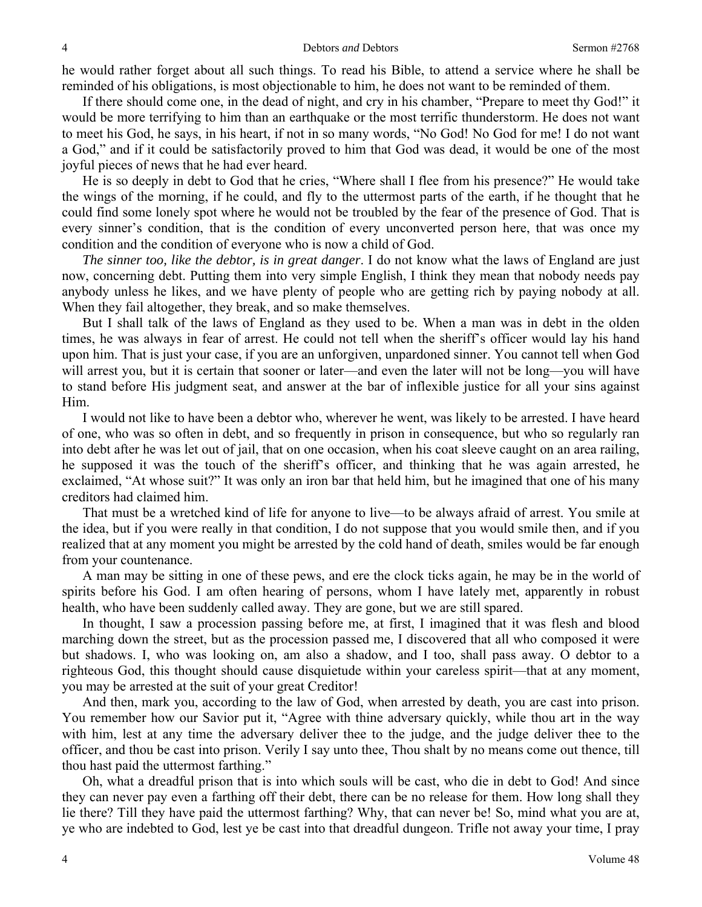he would rather forget about all such things. To read his Bible, to attend a service where he shall be reminded of his obligations, is most objectionable to him, he does not want to be reminded of them.

If there should come one, in the dead of night, and cry in his chamber, "Prepare to meet thy God!" it would be more terrifying to him than an earthquake or the most terrific thunderstorm. He does not want to meet his God, he says, in his heart, if not in so many words, "No God! No God for me! I do not want a God," and if it could be satisfactorily proved to him that God was dead, it would be one of the most joyful pieces of news that he had ever heard.

He is so deeply in debt to God that he cries, "Where shall I flee from his presence?" He would take the wings of the morning, if he could, and fly to the uttermost parts of the earth, if he thought that he could find some lonely spot where he would not be troubled by the fear of the presence of God. That is every sinner's condition, that is the condition of every unconverted person here, that was once my condition and the condition of everyone who is now a child of God.

*The sinner too, like the debtor, is in great danger*. I do not know what the laws of England are just now, concerning debt. Putting them into very simple English, I think they mean that nobody needs pay anybody unless he likes, and we have plenty of people who are getting rich by paying nobody at all. When they fail altogether, they break, and so make themselves.

But I shall talk of the laws of England as they used to be. When a man was in debt in the olden times, he was always in fear of arrest. He could not tell when the sheriff's officer would lay his hand upon him. That is just your case, if you are an unforgiven, unpardoned sinner. You cannot tell when God will arrest you, but it is certain that sooner or later—and even the later will not be long—you will have to stand before His judgment seat, and answer at the bar of inflexible justice for all your sins against Him.

I would not like to have been a debtor who, wherever he went, was likely to be arrested. I have heard of one, who was so often in debt, and so frequently in prison in consequence, but who so regularly ran into debt after he was let out of jail, that on one occasion, when his coat sleeve caught on an area railing, he supposed it was the touch of the sheriff's officer, and thinking that he was again arrested, he exclaimed, "At whose suit?" It was only an iron bar that held him, but he imagined that one of his many creditors had claimed him.

That must be a wretched kind of life for anyone to live—to be always afraid of arrest. You smile at the idea, but if you were really in that condition, I do not suppose that you would smile then, and if you realized that at any moment you might be arrested by the cold hand of death, smiles would be far enough from your countenance.

A man may be sitting in one of these pews, and ere the clock ticks again, he may be in the world of spirits before his God. I am often hearing of persons, whom I have lately met, apparently in robust health, who have been suddenly called away. They are gone, but we are still spared.

In thought, I saw a procession passing before me, at first, I imagined that it was flesh and blood marching down the street, but as the procession passed me, I discovered that all who composed it were but shadows. I, who was looking on, am also a shadow, and I too, shall pass away. O debtor to a righteous God, this thought should cause disquietude within your careless spirit—that at any moment, you may be arrested at the suit of your great Creditor!

And then, mark you, according to the law of God, when arrested by death, you are cast into prison. You remember how our Savior put it, "Agree with thine adversary quickly, while thou art in the way with him, lest at any time the adversary deliver thee to the judge, and the judge deliver thee to the officer, and thou be cast into prison. Verily I say unto thee, Thou shalt by no means come out thence, till thou hast paid the uttermost farthing."

Oh, what a dreadful prison that is into which souls will be cast, who die in debt to God! And since they can never pay even a farthing off their debt, there can be no release for them. How long shall they lie there? Till they have paid the uttermost farthing? Why, that can never be! So, mind what you are at, ye who are indebted to God, lest ye be cast into that dreadful dungeon. Trifle not away your time, I pray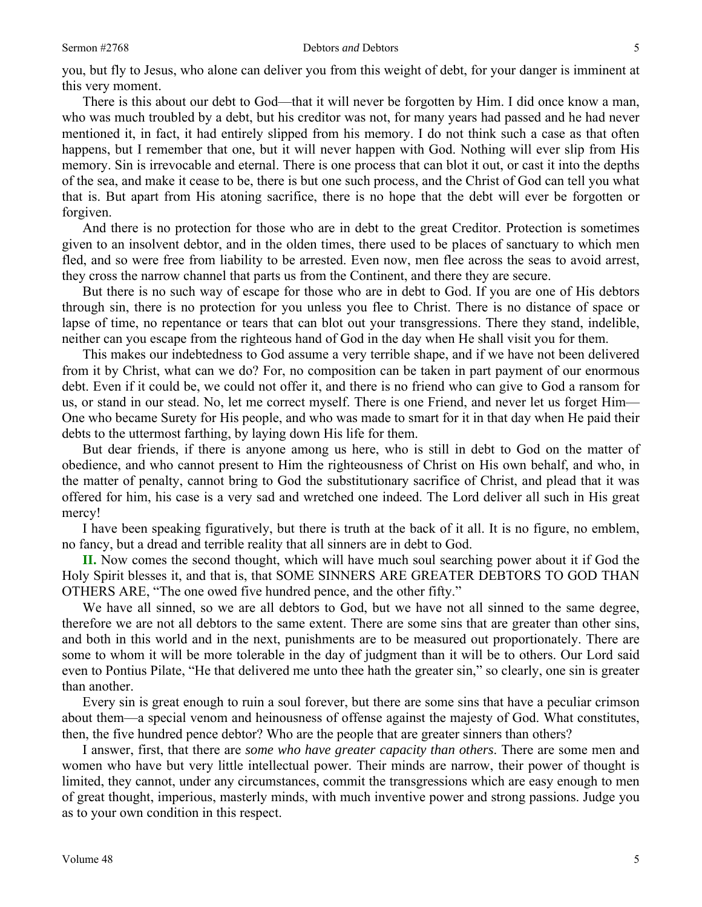you, but fly to Jesus, who alone can deliver you from this weight of debt, for your danger is imminent at this very moment.

There is this about our debt to God—that it will never be forgotten by Him. I did once know a man, who was much troubled by a debt, but his creditor was not, for many years had passed and he had never mentioned it, in fact, it had entirely slipped from his memory. I do not think such a case as that often happens, but I remember that one, but it will never happen with God. Nothing will ever slip from His memory. Sin is irrevocable and eternal. There is one process that can blot it out, or cast it into the depths of the sea, and make it cease to be, there is but one such process, and the Christ of God can tell you what that is. But apart from His atoning sacrifice, there is no hope that the debt will ever be forgotten or forgiven.

And there is no protection for those who are in debt to the great Creditor. Protection is sometimes given to an insolvent debtor, and in the olden times, there used to be places of sanctuary to which men fled, and so were free from liability to be arrested. Even now, men flee across the seas to avoid arrest, they cross the narrow channel that parts us from the Continent, and there they are secure.

But there is no such way of escape for those who are in debt to God. If you are one of His debtors through sin, there is no protection for you unless you flee to Christ. There is no distance of space or lapse of time, no repentance or tears that can blot out your transgressions. There they stand, indelible, neither can you escape from the righteous hand of God in the day when He shall visit you for them.

This makes our indebtedness to God assume a very terrible shape, and if we have not been delivered from it by Christ, what can we do? For, no composition can be taken in part payment of our enormous debt. Even if it could be, we could not offer it, and there is no friend who can give to God a ransom for us, or stand in our stead. No, let me correct myself. There is one Friend, and never let us forget Him— One who became Surety for His people, and who was made to smart for it in that day when He paid their debts to the uttermost farthing, by laying down His life for them.

But dear friends, if there is anyone among us here, who is still in debt to God on the matter of obedience, and who cannot present to Him the righteousness of Christ on His own behalf, and who, in the matter of penalty, cannot bring to God the substitutionary sacrifice of Christ, and plead that it was offered for him, his case is a very sad and wretched one indeed. The Lord deliver all such in His great mercy!

I have been speaking figuratively, but there is truth at the back of it all. It is no figure, no emblem, no fancy, but a dread and terrible reality that all sinners are in debt to God.

**II.** Now comes the second thought, which will have much soul searching power about it if God the Holy Spirit blesses it, and that is, that SOME SINNERS ARE GREATER DEBTORS TO GOD THAN OTHERS ARE, "The one owed five hundred pence, and the other fifty."

We have all sinned, so we are all debtors to God, but we have not all sinned to the same degree, therefore we are not all debtors to the same extent. There are some sins that are greater than other sins, and both in this world and in the next, punishments are to be measured out proportionately. There are some to whom it will be more tolerable in the day of judgment than it will be to others. Our Lord said even to Pontius Pilate, "He that delivered me unto thee hath the greater sin," so clearly, one sin is greater than another.

Every sin is great enough to ruin a soul forever, but there are some sins that have a peculiar crimson about them—a special venom and heinousness of offense against the majesty of God. What constitutes, then, the five hundred pence debtor? Who are the people that are greater sinners than others?

I answer, first, that there are *some who have greater capacity than others*. There are some men and women who have but very little intellectual power. Their minds are narrow, their power of thought is limited, they cannot, under any circumstances, commit the transgressions which are easy enough to men of great thought, imperious, masterly minds, with much inventive power and strong passions. Judge you as to your own condition in this respect.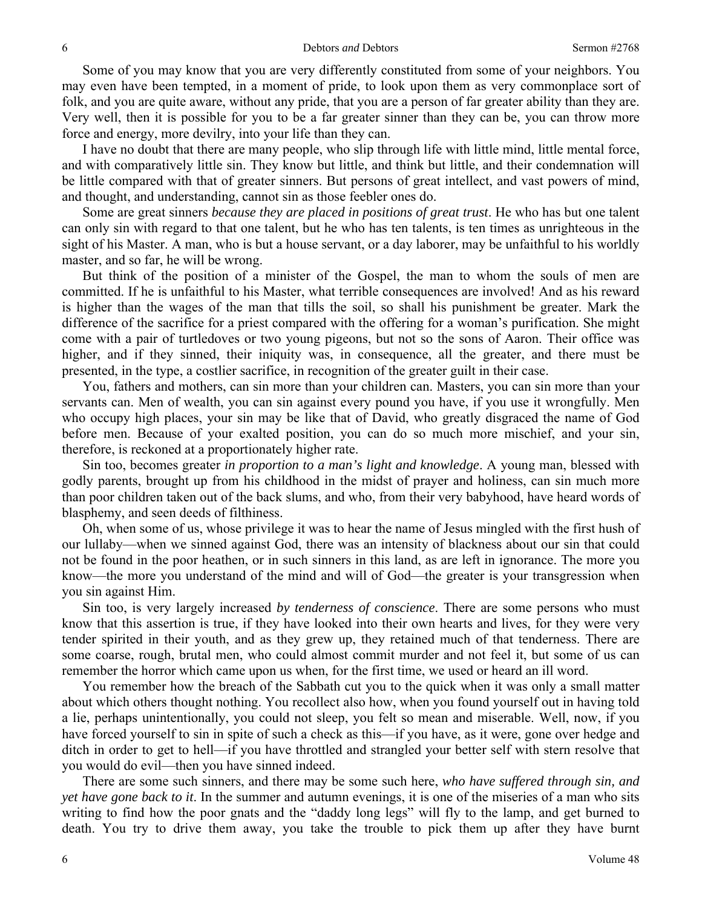Some of you may know that you are very differently constituted from some of your neighbors. You may even have been tempted, in a moment of pride, to look upon them as very commonplace sort of folk, and you are quite aware, without any pride, that you are a person of far greater ability than they are. Very well, then it is possible for you to be a far greater sinner than they can be, you can throw more force and energy, more devilry, into your life than they can.

I have no doubt that there are many people, who slip through life with little mind, little mental force, and with comparatively little sin. They know but little, and think but little, and their condemnation will be little compared with that of greater sinners. But persons of great intellect, and vast powers of mind, and thought, and understanding, cannot sin as those feebler ones do.

Some are great sinners *because they are placed in positions of great trust*. He who has but one talent can only sin with regard to that one talent, but he who has ten talents, is ten times as unrighteous in the sight of his Master. A man, who is but a house servant, or a day laborer, may be unfaithful to his worldly master, and so far, he will be wrong.

But think of the position of a minister of the Gospel, the man to whom the souls of men are committed. If he is unfaithful to his Master, what terrible consequences are involved! And as his reward is higher than the wages of the man that tills the soil, so shall his punishment be greater. Mark the difference of the sacrifice for a priest compared with the offering for a woman's purification. She might come with a pair of turtledoves or two young pigeons, but not so the sons of Aaron. Their office was higher, and if they sinned, their iniquity was, in consequence, all the greater, and there must be presented, in the type, a costlier sacrifice, in recognition of the greater guilt in their case.

You, fathers and mothers, can sin more than your children can. Masters, you can sin more than your servants can. Men of wealth, you can sin against every pound you have, if you use it wrongfully. Men who occupy high places, your sin may be like that of David, who greatly disgraced the name of God before men. Because of your exalted position, you can do so much more mischief, and your sin, therefore, is reckoned at a proportionately higher rate.

Sin too, becomes greater *in proportion to a man's light and knowledge*. A young man, blessed with godly parents, brought up from his childhood in the midst of prayer and holiness, can sin much more than poor children taken out of the back slums, and who, from their very babyhood, have heard words of blasphemy, and seen deeds of filthiness.

Oh, when some of us, whose privilege it was to hear the name of Jesus mingled with the first hush of our lullaby—when we sinned against God, there was an intensity of blackness about our sin that could not be found in the poor heathen, or in such sinners in this land, as are left in ignorance. The more you know—the more you understand of the mind and will of God—the greater is your transgression when you sin against Him.

Sin too, is very largely increased *by tenderness of conscience*. There are some persons who must know that this assertion is true, if they have looked into their own hearts and lives, for they were very tender spirited in their youth, and as they grew up, they retained much of that tenderness. There are some coarse, rough, brutal men, who could almost commit murder and not feel it, but some of us can remember the horror which came upon us when, for the first time, we used or heard an ill word.

You remember how the breach of the Sabbath cut you to the quick when it was only a small matter about which others thought nothing. You recollect also how, when you found yourself out in having told a lie, perhaps unintentionally, you could not sleep, you felt so mean and miserable. Well, now, if you have forced yourself to sin in spite of such a check as this—if you have, as it were, gone over hedge and ditch in order to get to hell—if you have throttled and strangled your better self with stern resolve that you would do evil—then you have sinned indeed.

There are some such sinners, and there may be some such here, *who have suffered through sin, and yet have gone back to it*. In the summer and autumn evenings, it is one of the miseries of a man who sits writing to find how the poor gnats and the "daddy long legs" will fly to the lamp, and get burned to death. You try to drive them away, you take the trouble to pick them up after they have burnt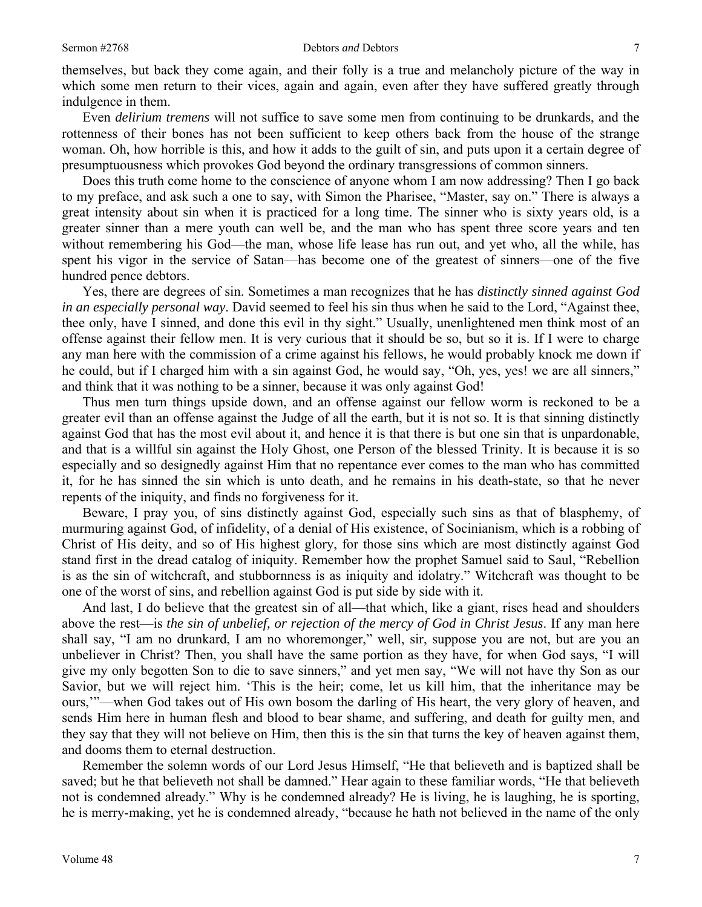themselves, but back they come again, and their folly is a true and melancholy picture of the way in which some men return to their vices, again and again, even after they have suffered greatly through indulgence in them.

Even *delirium tremens* will not suffice to save some men from continuing to be drunkards, and the rottenness of their bones has not been sufficient to keep others back from the house of the strange woman. Oh, how horrible is this, and how it adds to the guilt of sin, and puts upon it a certain degree of presumptuousness which provokes God beyond the ordinary transgressions of common sinners.

Does this truth come home to the conscience of anyone whom I am now addressing? Then I go back to my preface, and ask such a one to say, with Simon the Pharisee, "Master, say on." There is always a great intensity about sin when it is practiced for a long time. The sinner who is sixty years old, is a greater sinner than a mere youth can well be, and the man who has spent three score years and ten without remembering his God—the man, whose life lease has run out, and yet who, all the while, has spent his vigor in the service of Satan—has become one of the greatest of sinners—one of the five hundred pence debtors.

Yes, there are degrees of sin. Sometimes a man recognizes that he has *distinctly sinned against God in an especially personal way*. David seemed to feel his sin thus when he said to the Lord, "Against thee, thee only, have I sinned, and done this evil in thy sight." Usually, unenlightened men think most of an offense against their fellow men. It is very curious that it should be so, but so it is. If I were to charge any man here with the commission of a crime against his fellows, he would probably knock me down if he could, but if I charged him with a sin against God, he would say, "Oh, yes, yes! we are all sinners," and think that it was nothing to be a sinner, because it was only against God!

Thus men turn things upside down, and an offense against our fellow worm is reckoned to be a greater evil than an offense against the Judge of all the earth, but it is not so. It is that sinning distinctly against God that has the most evil about it, and hence it is that there is but one sin that is unpardonable, and that is a willful sin against the Holy Ghost, one Person of the blessed Trinity. It is because it is so especially and so designedly against Him that no repentance ever comes to the man who has committed it, for he has sinned the sin which is unto death, and he remains in his death-state, so that he never repents of the iniquity, and finds no forgiveness for it.

Beware, I pray you, of sins distinctly against God, especially such sins as that of blasphemy, of murmuring against God, of infidelity, of a denial of His existence, of Socinianism, which is a robbing of Christ of His deity, and so of His highest glory, for those sins which are most distinctly against God stand first in the dread catalog of iniquity. Remember how the prophet Samuel said to Saul, "Rebellion is as the sin of witchcraft, and stubbornness is as iniquity and idolatry." Witchcraft was thought to be one of the worst of sins, and rebellion against God is put side by side with it.

And last, I do believe that the greatest sin of all—that which, like a giant, rises head and shoulders above the rest—is *the sin of unbelief, or rejection of the mercy of God in Christ Jesus*. If any man here shall say, "I am no drunkard, I am no whoremonger," well, sir, suppose you are not, but are you an unbeliever in Christ? Then, you shall have the same portion as they have, for when God says, "I will give my only begotten Son to die to save sinners," and yet men say, "We will not have thy Son as our Savior, but we will reject him. 'This is the heir; come, let us kill him, that the inheritance may be ours,'"—when God takes out of His own bosom the darling of His heart, the very glory of heaven, and sends Him here in human flesh and blood to bear shame, and suffering, and death for guilty men, and they say that they will not believe on Him, then this is the sin that turns the key of heaven against them, and dooms them to eternal destruction.

Remember the solemn words of our Lord Jesus Himself, "He that believeth and is baptized shall be saved; but he that believeth not shall be damned." Hear again to these familiar words, "He that believeth not is condemned already." Why is he condemned already? He is living, he is laughing, he is sporting, he is merry-making, yet he is condemned already, "because he hath not believed in the name of the only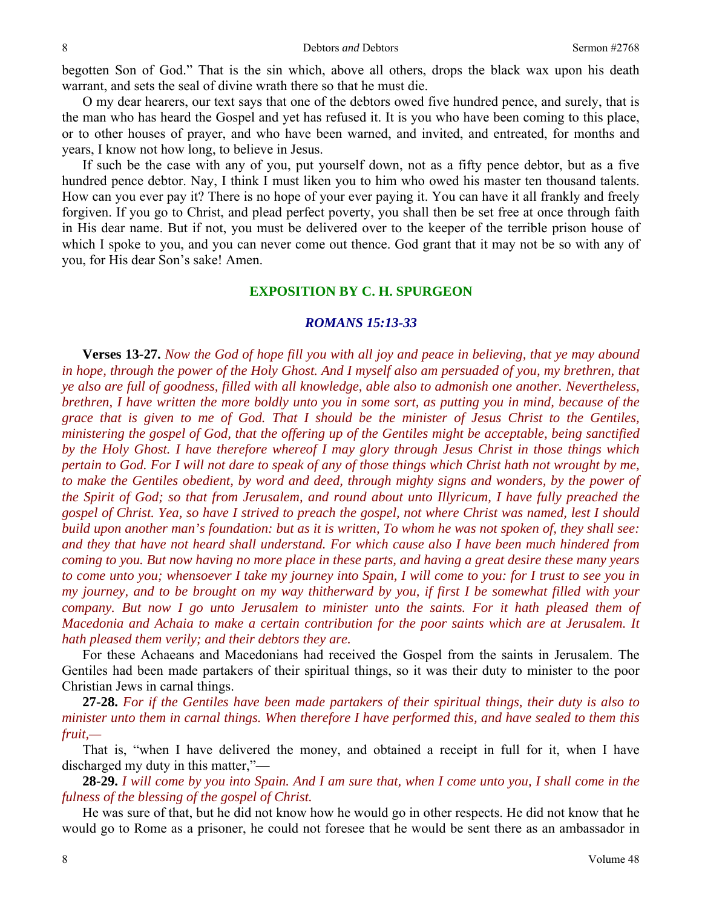begotten Son of God." That is the sin which, above all others, drops the black wax upon his death warrant, and sets the seal of divine wrath there so that he must die.

O my dear hearers, our text says that one of the debtors owed five hundred pence, and surely, that is the man who has heard the Gospel and yet has refused it. It is you who have been coming to this place, or to other houses of prayer, and who have been warned, and invited, and entreated, for months and years, I know not how long, to believe in Jesus.

If such be the case with any of you, put yourself down, not as a fifty pence debtor, but as a five hundred pence debtor. Nay, I think I must liken you to him who owed his master ten thousand talents. How can you ever pay it? There is no hope of your ever paying it. You can have it all frankly and freely forgiven. If you go to Christ, and plead perfect poverty, you shall then be set free at once through faith in His dear name. But if not, you must be delivered over to the keeper of the terrible prison house of which I spoke to you, and you can never come out thence. God grant that it may not be so with any of you, for His dear Son's sake! Amen.

#### **EXPOSITION BY C. H. SPURGEON**

#### *ROMANS 15:13-33*

**Verses 13-27.** *Now the God of hope fill you with all joy and peace in believing, that ye may abound*  in hope, through the power of the Holy Ghost. And I myself also am persuaded of you, my brethren, that *ye also are full of goodness, filled with all knowledge, able also to admonish one another. Nevertheless, brethren, I have written the more boldly unto you in some sort, as putting you in mind, because of the grace that is given to me of God. That I should be the minister of Jesus Christ to the Gentiles, ministering the gospel of God, that the offering up of the Gentiles might be acceptable, being sanctified by the Holy Ghost. I have therefore whereof I may glory through Jesus Christ in those things which pertain to God. For I will not dare to speak of any of those things which Christ hath not wrought by me, to make the Gentiles obedient, by word and deed, through mighty signs and wonders, by the power of the Spirit of God; so that from Jerusalem, and round about unto Illyricum, I have fully preached the gospel of Christ. Yea, so have I strived to preach the gospel, not where Christ was named, lest I should build upon another man's foundation: but as it is written, To whom he was not spoken of, they shall see: and they that have not heard shall understand. For which cause also I have been much hindered from coming to you. But now having no more place in these parts, and having a great desire these many years to come unto you; whensoever I take my journey into Spain, I will come to you: for I trust to see you in my journey, and to be brought on my way thitherward by you, if first I be somewhat filled with your company. But now I go unto Jerusalem to minister unto the saints. For it hath pleased them of Macedonia and Achaia to make a certain contribution for the poor saints which are at Jerusalem. It hath pleased them verily; and their debtors they are.* 

For these Achaeans and Macedonians had received the Gospel from the saints in Jerusalem. The Gentiles had been made partakers of their spiritual things, so it was their duty to minister to the poor Christian Jews in carnal things.

**27-28.** *For if the Gentiles have been made partakers of their spiritual things, their duty is also to minister unto them in carnal things. When therefore I have performed this, and have sealed to them this fruit,—* 

That is, "when I have delivered the money, and obtained a receipt in full for it, when I have discharged my duty in this matter,"—

**28-29.** *I will come by you into Spain. And I am sure that, when I come unto you, I shall come in the fulness of the blessing of the gospel of Christ.* 

He was sure of that, but he did not know how he would go in other respects. He did not know that he would go to Rome as a prisoner, he could not foresee that he would be sent there as an ambassador in